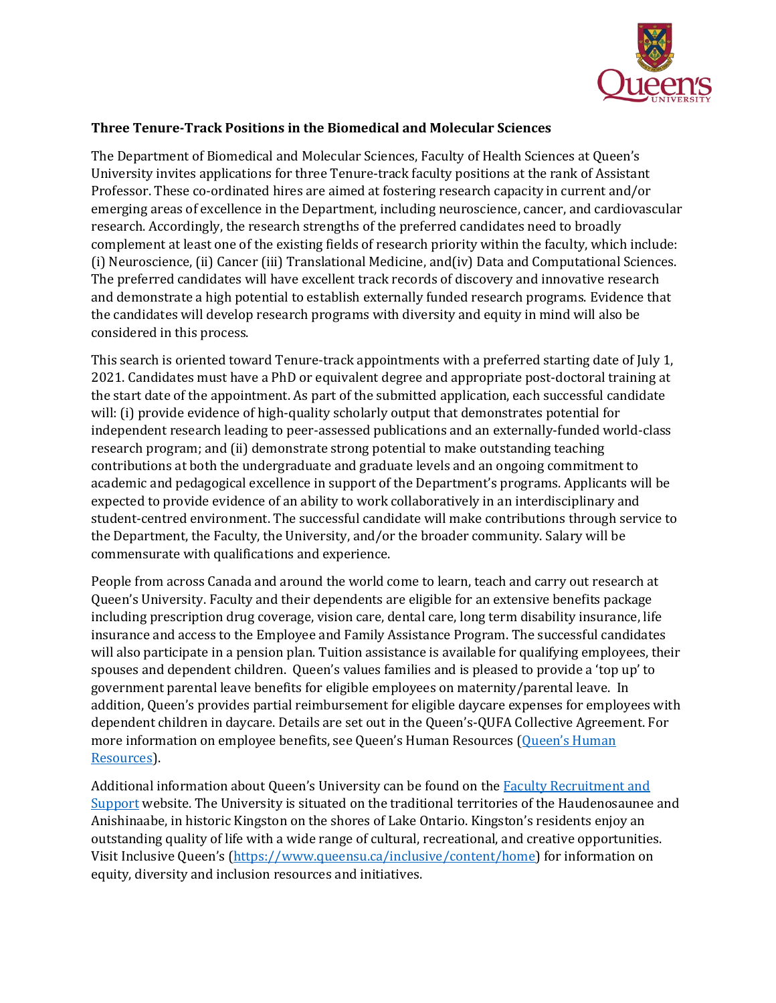

## **Three Tenure-Track Positions in the Biomedical and Molecular Sciences**

The Department of Biomedical and Molecular Sciences, Faculty of Health Sciences at Queen's University invites applications for three Tenure-track faculty positions at the rank of Assistant Professor. These co-ordinated hires are aimed at fostering research capacity in current and/or emerging areas of excellence in the Department, including neuroscience, cancer, and cardiovascular research. Accordingly, the research strengths of the preferred candidates need to broadly complement at least one of the existing fields of research priority within the faculty, which include: (i) Neuroscience, (ii) Cancer (iii) Translational Medicine, and(iv) Data and Computational Sciences. The preferred candidates will have excellent track records of discovery and innovative research and demonstrate a high potential to establish externally funded research programs. Evidence that the candidates will develop research programs with diversity and equity in mind will also be considered in this process.

This search is oriented toward Tenure-track appointments with a preferred starting date of July 1, 2021. Candidates must have a PhD or equivalent degree and appropriate post-doctoral training at the start date of the appointment. As part of the submitted application, each successful candidate will: (i) provide evidence of high-quality scholarly output that demonstrates potential for independent research leading to peer-assessed publications and an externally-funded world-class research program; and (ii) demonstrate strong potential to make outstanding teaching contributions at both the undergraduate and graduate levels and an ongoing commitment to academic and pedagogical excellence in support of the Department's programs. Applicants will be expected to provide evidence of an ability to work collaboratively in an interdisciplinary and student-centred environment. The successful candidate will make contributions through service to the Department, the Faculty, the University, and/or the broader community. Salary will be commensurate with qualifications and experience.

People from across Canada and around the world come to learn, teach and carry out research at Queen's University. Faculty and their dependents are eligible for an extensive benefits package including prescription drug coverage, vision care, dental care, long term disability insurance, life insurance and access to the Employee and Family Assistance Program. The successful candidates will also participate in a pension plan. Tuition assistance is available for qualifying employees, their spouses and dependent children. Queen's values families and is pleased to provide a 'top up' to government parental leave benefits for eligible employees on maternity/parental leave. In addition, Queen's provides partial reimbursement for eligible daycare expenses for employees with dependent children in daycare. Details are set out in the Queen's-QUFA Collective Agreement. For more information on employee benefits, see Queen's Human Resources ([Queen's Human](http://www.queensu.ca/humanresources/)  [Resources\)](http://www.queensu.ca/humanresources/).

Additional information about Queen's University can be found on the Faculty Recruitment and [Support](http://www.queensu.ca/facultyrecruitment) website. The University is situated on the traditional territories of the Haudenosaunee and Anishinaabe, in historic Kingston on the shores of Lake Ontario. Kingston's residents enjoy an outstanding quality of life with a wide range of cultural, recreational, and creative opportunities. Visit Inclusive Queen's [\(https://www.queensu.ca/inclusive/content/home\)](https://www.queensu.ca/inclusive/content/home) for information on equity, diversity and inclusion resources and initiatives.